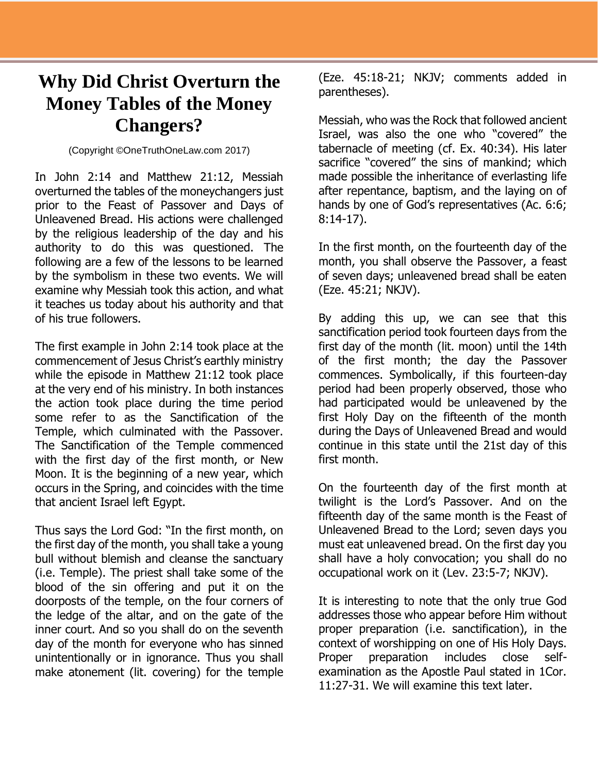## **Why Did Christ Overturn the Money Tables of the Money Changers?**

(Copyright ©OneTruthOneLaw.com 2017)

In John 2:14 and Matthew 21:12, Messiah overturned the tables of the moneychangers just prior to the Feast of Passover and Days of Unleavened Bread. His actions were challenged by the religious leadership of the day and his authority to do this was questioned. The following are a few of the lessons to be learned by the symbolism in these two events. We will examine why Messiah took this action, and what it teaches us today about his authority and that of his true followers.

The first example in John 2:14 took place at the commencement of Jesus Christ's earthly ministry while the episode in Matthew 21:12 took place at the very end of his ministry. In both instances the action took place during the time period some refer to as the Sanctification of the Temple, which culminated with the Passover. The Sanctification of the Temple commenced with the first day of the first month, or New Moon. It is the beginning of a new year, which occurs in the Spring, and coincides with the time that ancient Israel left Egypt.

Thus says the Lord God: "In the first month, on the first day of the month, you shall take a young bull without blemish and cleanse the sanctuary (i.e. Temple). The priest shall take some of the blood of the sin offering and put it on the doorposts of the temple, on the four corners of the ledge of the altar, and on the gate of the inner court. And so you shall do on the seventh day of the month for everyone who has sinned unintentionally or in ignorance. Thus you shall make atonement (lit. covering) for the temple

(Eze. 45:18-21; NKJV; comments added in parentheses).

Messiah, who was the Rock that followed ancient Israel, was also the one who "covered" the tabernacle of meeting (cf. Ex. 40:34). His later sacrifice "covered" the sins of mankind; which made possible the inheritance of everlasting life after repentance, baptism, and the laying on of hands by one of God's representatives (Ac. 6:6; 8:14-17).

In the first month, on the fourteenth day of the month, you shall observe the Passover, a feast of seven days; unleavened bread shall be eaten (Eze. 45:21; NKJV).

By adding this up, we can see that this sanctification period took fourteen days from the first day of the month (lit. moon) until the 14th of the first month; the day the Passover commences. Symbolically, if this fourteen-day period had been properly observed, those who had participated would be unleavened by the first Holy Day on the fifteenth of the month during the Days of Unleavened Bread and would continue in this state until the 21st day of this first month.

On the fourteenth day of the first month at twilight is the Lord's Passover. And on the fifteenth day of the same month is the Feast of Unleavened Bread to the Lord; seven days you must eat unleavened bread. On the first day you shall have a holy convocation; you shall do no occupational work on it (Lev. 23:5-7; NKJV).

It is interesting to note that the only true God addresses those who appear before Him without proper preparation (i.e. sanctification), in the context of worshipping on one of His Holy Days. Proper preparation includes close selfexamination as the Apostle Paul stated in 1Cor. 11:27-31. We will examine this text later.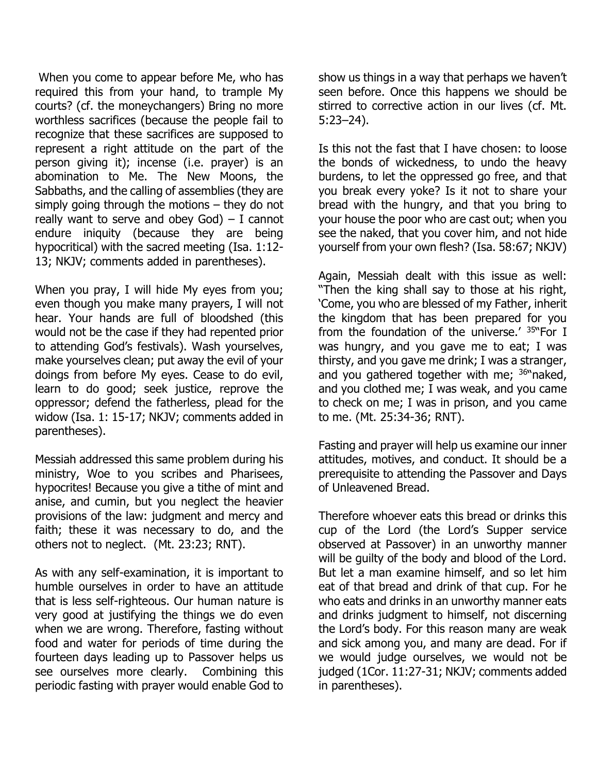When you come to appear before Me, who has required this from your hand, to trample My courts? (cf. the moneychangers) Bring no more worthless sacrifices (because the people fail to recognize that these sacrifices are supposed to represent a right attitude on the part of the person giving it); incense (i.e. prayer) is an abomination to Me. The New Moons, the Sabbaths, and the calling of assemblies (they are simply going through the motions – they do not really want to serve and obey  $God$ ) - I cannot endure iniquity (because they are being hypocritical) with the sacred meeting (Isa. 1:12- 13; NKJV; comments added in parentheses).

When you pray, I will hide My eyes from you; even though you make many prayers, I will not hear. Your hands are full of bloodshed (this would not be the case if they had repented prior to attending God's festivals). Wash yourselves, make yourselves clean; put away the evil of your doings from before My eyes. Cease to do evil, learn to do good; seek justice, reprove the oppressor; defend the fatherless, plead for the widow (Isa. 1: 15-17; NKJV; comments added in parentheses).

Messiah addressed this same problem during his ministry, Woe to you scribes and Pharisees, hypocrites! Because you give a tithe of mint and anise, and cumin, but you neglect the heavier provisions of the law: judgment and mercy and faith; these it was necessary to do, and the others not to neglect. (Mt. 23:23; RNT).

As with any self-examination, it is important to humble ourselves in order to have an attitude that is less self-righteous. Our human nature is very good at justifying the things we do even when we are wrong. Therefore, fasting without food and water for periods of time during the fourteen days leading up to Passover helps us see ourselves more clearly. Combining this periodic fasting with prayer would enable God to

show us things in a way that perhaps we haven't seen before. Once this happens we should be stirred to corrective action in our lives (cf. Mt. 5:23–24).

Is this not the fast that I have chosen: to loose the bonds of wickedness, to undo the heavy burdens, to let the oppressed go free, and that you break every yoke? Is it not to share your bread with the hungry, and that you bring to your house the poor who are cast out; when you see the naked, that you cover him, and not hide yourself from your own flesh? (Isa. 58:67; NKJV)

Again, Messiah dealt with this issue as well: "Then the king shall say to those at his right, 'Come, you who are blessed of my Father, inherit the kingdom that has been prepared for you from the foundation of the universe.'  $35$ <sup>N</sup>For I was hungry, and you gave me to eat; I was thirsty, and you gave me drink; I was a stranger, and you gathered together with me; <sup>36"</sup>naked, and you clothed me; I was weak, and you came to check on me; I was in prison, and you came to me. (Mt. 25:34-36; RNT).

Fasting and prayer will help us examine our inner attitudes, motives, and conduct. It should be a prerequisite to attending the Passover and Days of Unleavened Bread.

Therefore whoever eats this bread or drinks this cup of the Lord (the Lord's Supper service observed at Passover) in an unworthy manner will be guilty of the body and blood of the Lord. But let a man examine himself, and so let him eat of that bread and drink of that cup. For he who eats and drinks in an unworthy manner eats and drinks judgment to himself, not discerning the Lord's body. For this reason many are weak and sick among you, and many are dead. For if we would judge ourselves, we would not be judged (1Cor. 11:27-31; NKJV; comments added in parentheses).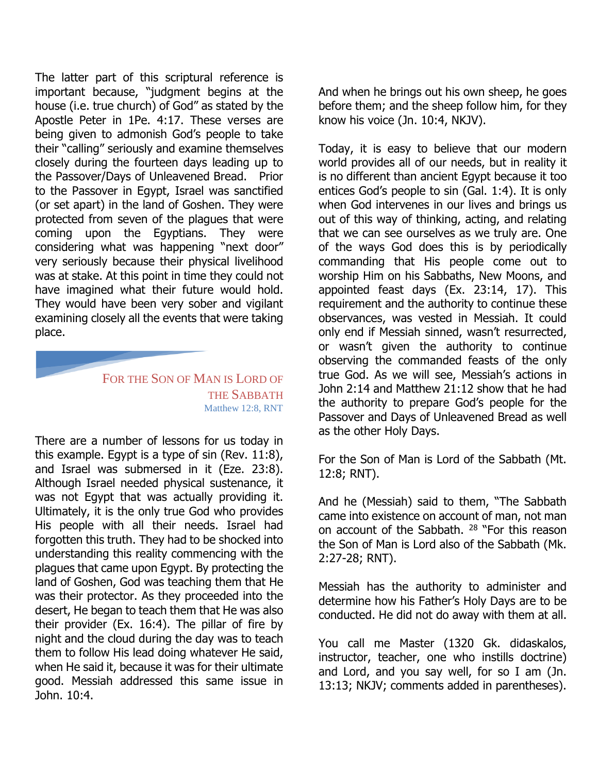The latter part of this scriptural reference is important because, "judgment begins at the house (i.e. true church) of God" as stated by the Apostle Peter in 1Pe. 4:17. These verses are being given to admonish God's people to take their "calling" seriously and examine themselves closely during the fourteen days leading up to the Passover/Days of Unleavened Bread. Prior to the Passover in Egypt, Israel was sanctified (or set apart) in the land of Goshen. They were protected from seven of the plagues that were coming upon the Egyptians. They were considering what was happening "next door" very seriously because their physical livelihood was at stake. At this point in time they could not have imagined what their future would hold. They would have been very sober and vigilant examining closely all the events that were taking place.

## FOR THE SON OF MAN IS LORD OF THE SABBATH Matthew 12:8, RNT

There are a number of lessons for us today in this example. Egypt is a type of sin (Rev. 11:8), and Israel was submersed in it (Eze. 23:8). Although Israel needed physical sustenance, it was not Egypt that was actually providing it. Ultimately, it is the only true God who provides His people with all their needs. Israel had forgotten this truth. They had to be shocked into understanding this reality commencing with the plagues that came upon Egypt. By protecting the land of Goshen, God was teaching them that He was their protector. As they proceeded into the desert, He began to teach them that He was also their provider (Ex. 16:4). The pillar of fire by night and the cloud during the day was to teach them to follow His lead doing whatever He said, when He said it, because it was for their ultimate good. Messiah addressed this same issue in John. 10:4.

And when he brings out his own sheep, he goes before them; and the sheep follow him, for they know his voice (Jn. 10:4, NKJV).

Today, it is easy to believe that our modern world provides all of our needs, but in reality it is no different than ancient Egypt because it too entices God's people to sin (Gal. 1:4). It is only when God intervenes in our lives and brings us out of this way of thinking, acting, and relating that we can see ourselves as we truly are. One of the ways God does this is by periodically commanding that His people come out to worship Him on his Sabbaths, New Moons, and appointed feast days (Ex. 23:14, 17). This requirement and the authority to continue these observances, was vested in Messiah. It could only end if Messiah sinned, wasn't resurrected, or wasn't given the authority to continue observing the commanded feasts of the only true God. As we will see, Messiah's actions in John 2:14 and Matthew 21:12 show that he had the authority to prepare God's people for the Passover and Days of Unleavened Bread as well as the other Holy Days.

For the Son of Man is Lord of the Sabbath (Mt. 12:8; RNT).

And he (Messiah) said to them, "The Sabbath came into existence on account of man, not man on account of the Sabbath. <sup>28</sup> "For this reason the Son of Man is Lord also of the Sabbath (Mk. 2:27-28; RNT).

Messiah has the authority to administer and determine how his Father's Holy Days are to be conducted. He did not do away with them at all.

You call me Master (1320 Gk. didaskalos, instructor, teacher, one who instills doctrine) and Lord, and you say well, for so I am (Jn. 13:13; NKJV; comments added in parentheses).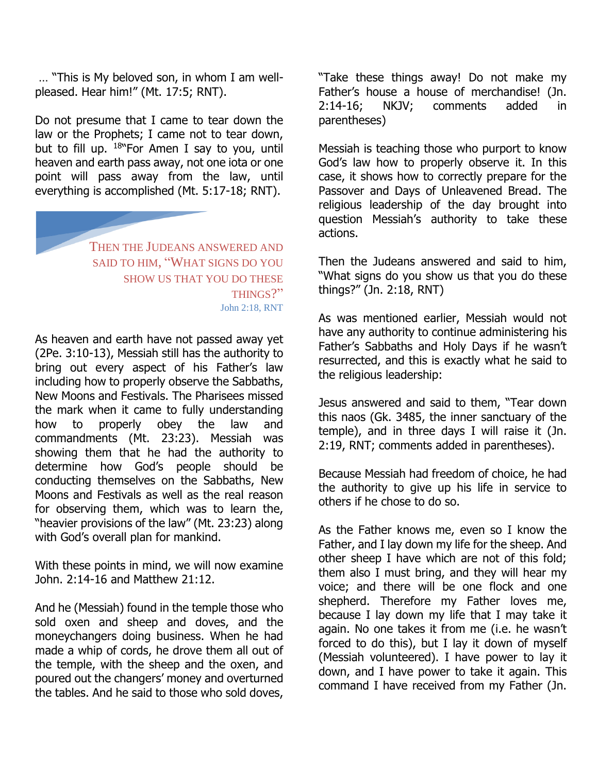… "This is My beloved son, in whom I am wellpleased. Hear him!" (Mt. 17:5; RNT).

Do not presume that I came to tear down the law or the Prophets; I came not to tear down, but to fill up.  $18^{\circ}$  For Amen I say to you, until heaven and earth pass away, not one iota or one point will pass away from the law, until everything is accomplished (Mt. 5:17-18; RNT).

> THEN THE JUDEANS ANSWERED AND SAID TO HIM, "WHAT SIGNS DO YOU SHOW US THAT YOU DO THESE THINGS?" John 2:18, RNT

As heaven and earth have not passed away yet (2Pe. 3:10-13), Messiah still has the authority to bring out every aspect of his Father's law including how to properly observe the Sabbaths, New Moons and Festivals. The Pharisees missed the mark when it came to fully understanding how to properly obey the law and commandments (Mt. 23:23). Messiah was showing them that he had the authority to determine how God's people should be conducting themselves on the Sabbaths, New Moons and Festivals as well as the real reason for observing them, which was to learn the, "heavier provisions of the law" (Mt. 23:23) along with God's overall plan for mankind.

With these points in mind, we will now examine John. 2:14-16 and Matthew 21:12.

And he (Messiah) found in the temple those who sold oxen and sheep and doves, and the moneychangers doing business. When he had made a whip of cords, he drove them all out of the temple, with the sheep and the oxen, and poured out the changers' money and overturned the tables. And he said to those who sold doves,

"Take these things away! Do not make my Father's house a house of merchandise! (Jn. 2:14-16; NKJV; comments added in parentheses)

Messiah is teaching those who purport to know God's law how to properly observe it. In this case, it shows how to correctly prepare for the Passover and Days of Unleavened Bread. The religious leadership of the day brought into question Messiah's authority to take these actions.

Then the Judeans answered and said to him, "What signs do you show us that you do these things?" (Jn. 2:18, RNT)

As was mentioned earlier, Messiah would not have any authority to continue administering his Father's Sabbaths and Holy Days if he wasn't resurrected, and this is exactly what he said to the religious leadership:

Jesus answered and said to them, "Tear down this naos (Gk. 3485, the inner sanctuary of the temple), and in three days I will raise it (Jn. 2:19, RNT; comments added in parentheses).

Because Messiah had freedom of choice, he had the authority to give up his life in service to others if he chose to do so.

As the Father knows me, even so I know the Father, and I lay down my life for the sheep. And other sheep I have which are not of this fold; them also I must bring, and they will hear my voice; and there will be one flock and one shepherd. Therefore my Father loves me, because I lay down my life that I may take it again. No one takes it from me (i.e. he wasn't forced to do this), but I lay it down of myself (Messiah volunteered). I have power to lay it down, and I have power to take it again. This command I have received from my Father (Jn.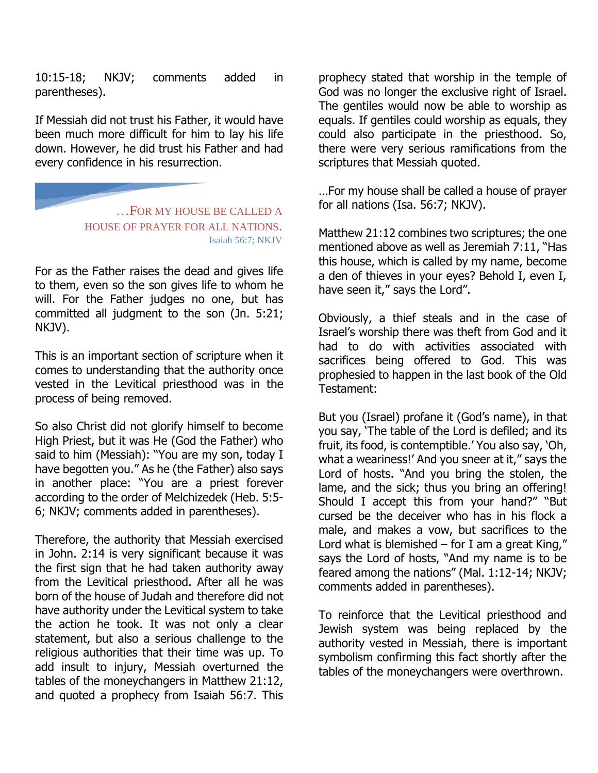10:15-18; NKJV; comments added in parentheses).

If Messiah did not trust his Father, it would have been much more difficult for him to lay his life down. However, he did trust his Father and had every confidence in his resurrection.

> …FOR MY HOUSE BE CALLED A HOUSE OF PRAYER FOR ALL NATIONS. Isaiah 56:7; NKJV

For as the Father raises the dead and gives life to them, even so the son gives life to whom he will. For the Father judges no one, but has committed all judgment to the son (Jn. 5:21; NKJV).

This is an important section of scripture when it comes to understanding that the authority once vested in the Levitical priesthood was in the process of being removed.

So also Christ did not glorify himself to become High Priest, but it was He (God the Father) who said to him (Messiah): "You are my son, today I have begotten you." As he (the Father) also says in another place: "You are a priest forever according to the order of Melchizedek (Heb. 5:5- 6; NKJV; comments added in parentheses).

Therefore, the authority that Messiah exercised in John. 2:14 is very significant because it was the first sign that he had taken authority away from the Levitical priesthood. After all he was born of the house of Judah and therefore did not have authority under the Levitical system to take the action he took. It was not only a clear statement, but also a serious challenge to the religious authorities that their time was up. To add insult to injury, Messiah overturned the tables of the moneychangers in Matthew 21:12, and quoted a prophecy from Isaiah 56:7. This

prophecy stated that worship in the temple of God was no longer the exclusive right of Israel. The gentiles would now be able to worship as equals. If gentiles could worship as equals, they could also participate in the priesthood. So, there were very serious ramifications from the scriptures that Messiah quoted.

…For my house shall be called a house of prayer for all nations (Isa. 56:7; NKJV).

Matthew 21:12 combines two scriptures; the one mentioned above as well as Jeremiah 7:11, "Has this house, which is called by my name, become a den of thieves in your eyes? Behold I, even I, have seen it," says the Lord".

Obviously, a thief steals and in the case of Israel's worship there was theft from God and it had to do with activities associated with sacrifices being offered to God. This was prophesied to happen in the last book of the Old Testament:

But you (Israel) profane it (God's name), in that you say, 'The table of the Lord is defiled; and its fruit, its food, is contemptible.' You also say, 'Oh, what a weariness!' And you sneer at it," says the Lord of hosts. "And you bring the stolen, the lame, and the sick; thus you bring an offering! Should I accept this from your hand?" "But cursed be the deceiver who has in his flock a male, and makes a vow, but sacrifices to the Lord what is blemished  $-$  for I am a great King," says the Lord of hosts, "And my name is to be feared among the nations" (Mal. 1:12-14; NKJV; comments added in parentheses).

To reinforce that the Levitical priesthood and Jewish system was being replaced by the authority vested in Messiah, there is important symbolism confirming this fact shortly after the tables of the moneychangers were overthrown.